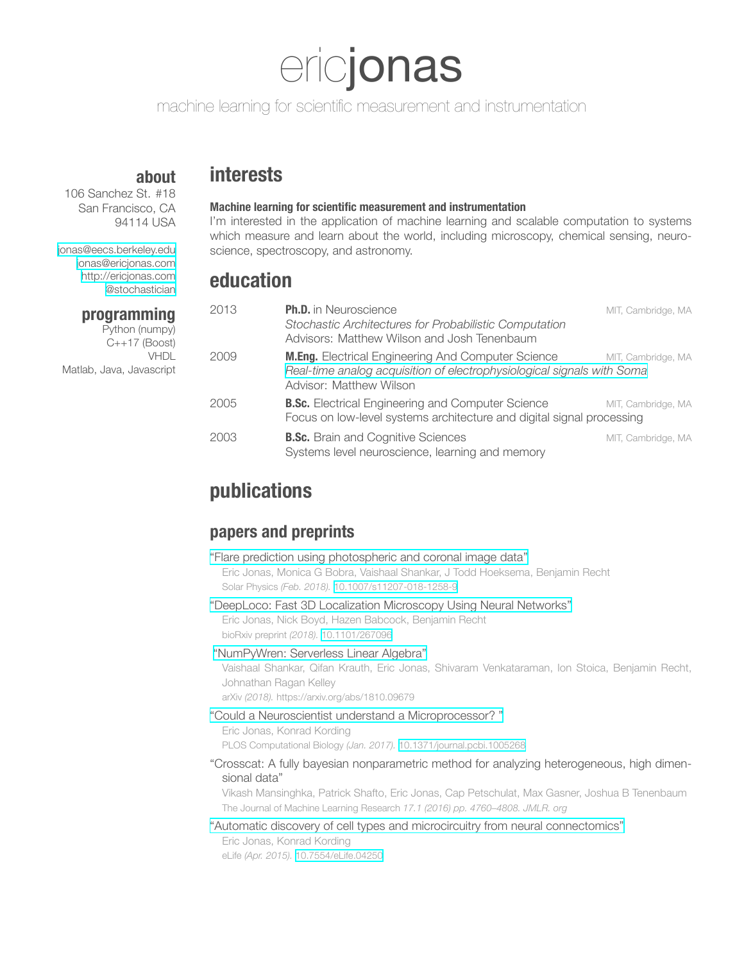# ericjonas

machine learning for scientific measurement and instrumentation

## **about**

106 Sanchez St. #18 San Francisco, CA 94114 USA

[jonas@eecs.berkeley.edu](mailto:jonas@eecs.berkeley.edu) [jonas@ericjonas.com](mailto:jonas@ericjonas.com) [http://ericjonas.com](http://www.ericjonas.com) [@stochastician](http://twitter.com/stochastician)

## **programming**

Python (numpy) C++17 (Boost) VHDL Matlab, Java, Javascript

# **interests**

## **Machine learning for scientific measurement and instrumentation**

I'm interested in the application of machine learning and scalable computation to systems which measure and learn about the world, including microscopy, chemical sensing, neuroscience, spectroscopy, and astronomy.

## **education**

| 2013 | <b>Ph.D.</b> in Neuroscience                                                                                                                                   | MIT, Cambridge, MA |
|------|----------------------------------------------------------------------------------------------------------------------------------------------------------------|--------------------|
|      | Stochastic Architectures for Probabilistic Computation<br>Advisors: Matthew Wilson and Josh Tenenbaum                                                          |                    |
| 2009 | <b>M.Eng.</b> Electrical Engineering And Computer Science<br>Real-time analog acquisition of electrophysiological signals with Soma<br>Advisor: Matthew Wilson | MIT, Cambridge, MA |
| 2005 | <b>B.Sc.</b> Electrical Engineering and Computer Science<br>Focus on low-level systems architecture and digital signal processing                              | MIT, Cambridge, MA |
| 2003 | <b>B.Sc.</b> Brain and Cognitive Sciences<br>Systems level neuroscience, learning and memory                                                                   | MIT, Cambridge, MA |

# **publications**

## **papers and preprints**

| "Flare prediction using photospheric and coronal image data"                  |  |
|-------------------------------------------------------------------------------|--|
| Eric Jonas, Monica G Bobra, Vaishaal Shankar, J Todd Hoeksema, Benjamin Recht |  |
| Solar Physics (Feb. 2018). 10.1007/s11207-018-1258-9                          |  |

### ["DeepLoco:](http://dx.doi.org/10.1101/267096) Fast 3D Localization Microscopy Using Neural Networks"

Eric Jonas, Nick Boyd, Hazen Babcock, Benjamin Recht bioRxiv preprint *(2018).* [10.1101/267096](http://dx.doi.org/10.1101/267096)

### ["NumPyWren:](https://arxiv.org/abs/1810.09679) Serverless Linear Algebra"

Vaishaal Shankar, Qifan Krauth, Eric Jonas, Shivaram Venkataraman, Ion Stoica, Benjamin Recht, Johnathan Ragan Kelley

arXiv *(2018).* https://arxiv.org/abs/1810.09679

### "Could a Neuroscientist understand a [Microprocessor?](http://dx.doi.org/10.1371/journal.pcbi.1005268) "

Eric Jonas, Konrad Kording PLOS Computational Biology *(Jan. 2017).* [10.1371/journal.pcbi.1005268](http://dx.doi.org/10.1371/journal.pcbi.1005268)

### "Crosscat: A fully bayesian nonparametric method for analyzing heterogeneous, high dimensional data"

Vikash Mansinghka, Patrick Shafto, Eric Jonas, Cap Petschulat, Max Gasner, Joshua B Tenenbaum The Journal of Machine Learning Research *17.1 (2016) pp. 4760–4808. JMLR. org*

### "Automatic discovery of cell types and microcircuitry from neural [connectomics"](http://dx.doi.org/10.7554/eLife.04250)

Eric Jonas, Konrad Kording eLife *(Apr. 2015).* [10.7554/eLife.04250](http://dx.doi.org/10.7554/eLife.04250)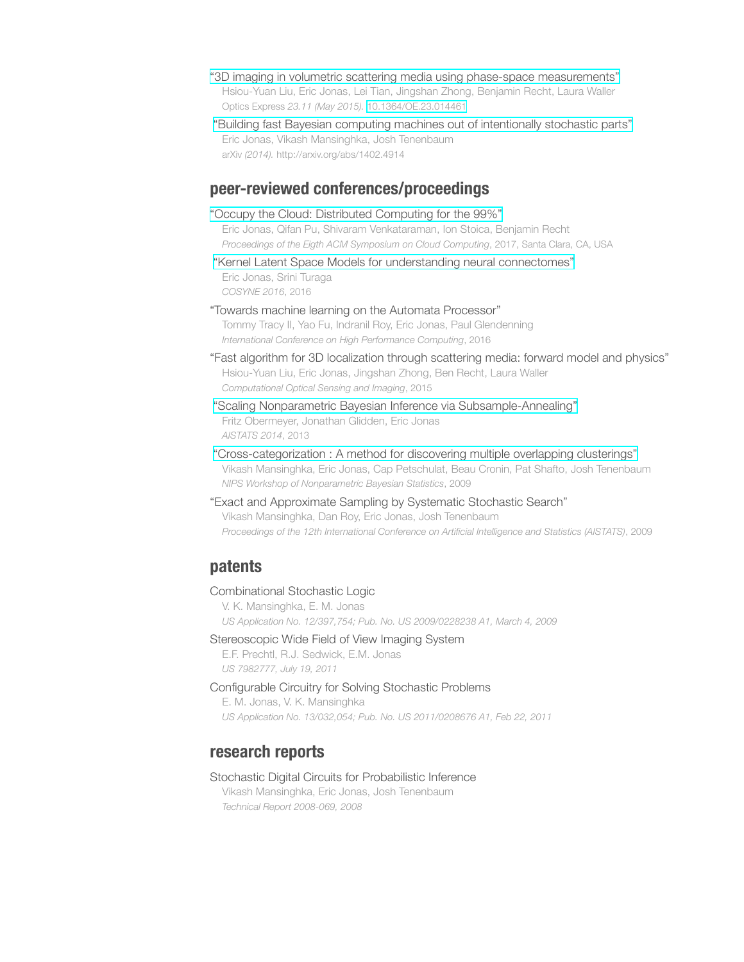- "3D imaging in volumetric scattering media using phase-space [measurements"](http://dx.doi.org/10.1364/OE.23.014461) Hsiou-Yuan Liu, Eric Jonas, Lei Tian, Jingshan Zhong, Benjamin Recht, Laura Waller Optics Express *23.11 (May 2015).* [10.1364/OE.23.014461](http://dx.doi.org/10.1364/OE.23.014461)
- "Building fast Bayesian computing machines out of [intentionally](http://arxiv.org/abs/1402.4914) stochastic parts" Eric Jonas, Vikash Mansinghka, Josh Tenenbaum arXiv *(2014).* http://arxiv.org/abs/1402.4914

## **peer-reviewed conferences/proceedings**

"Occupy the Cloud: Distributed [Computing](http://dx.doi.org/10.1145/3127479.3128601) for the 99%"

Eric Jonas, Qifan Pu, Shivaram Venkataraman, Ion Stoica, Benjamin Recht *Proceedings of the Eigth ACM Symposium on Cloud Computing*, 2017, Santa Clara, CA, USA

"Kernel Latent Space Models for understanding neural [connectomes"](http://ericjonas.com/images/pdfs/cosyne.2016.pdf) Eric Jonas, Srini Turaga *COSYNE 2016*, 2016

"Towards machine learning on the Automata Processor"

Tommy Tracy II, Yao Fu, Indranil Roy, Eric Jonas, Paul Glendenning *International Conference on High Performance Computing*, 2016

- "Fast algorithm for 3D localization through scattering media: forward model and physics" Hsiou-Yuan Liu, Eric Jonas, Jingshan Zhong, Ben Recht, Laura Waller *Computational Optical Sensing and Imaging*, 2015
- "Scaling Nonparametric Bayesian Inference via [Subsample-Annealing"](http://proceedings.mlr.press/v33/obermeyer14.html) Fritz Obermeyer, Jonathan Glidden, Eric Jonas *AISTATS 2014*, 2013
- ["Cross-categorization](https://pdfs.semanticscholar.org/1558/9b58bf40215d745308ff2fe0fadaf98bdff8.pdf) : A method for discovering multiple overlapping clusterings" Vikash Mansinghka, Eric Jonas, Cap Petschulat, Beau Cronin, Pat Shafto, Josh Tenenbaum *NIPS Workshop of Nonparametric Bayesian Statistics*, 2009
- "Exact and Approximate Sampling by Systematic Stochastic Search" Vikash Mansinghka, Dan Roy, Eric Jonas, Josh Tenenbaum *Proceedings of the 12th International Conference on Artificial Intelligence and Statistics (AISTATS)*, 2009

## **patents**

#### Combinational Stochastic Logic

V. K. Mansinghka, E. M. Jonas *US Application No. 12/397,754; Pub. No. US 2009/0228238 A1, March 4, 2009*

Stereoscopic Wide Field of View Imaging System

E.F. Prechtl, R.J. Sedwick, E.M. Jonas *US 7982777, July 19, 2011*

Configurable Circuitry for Solving Stochastic Problems

E. M. Jonas, V. K. Mansinghka *US Application No. 13/032,054; Pub. No. US 2011/0208676 A1, Feb 22, 2011*

## **research reports**

#### Stochastic Digital Circuits for Probabilistic Inference

Vikash Mansinghka, Eric Jonas, Josh Tenenbaum *Technical Report 2008-069, 2008*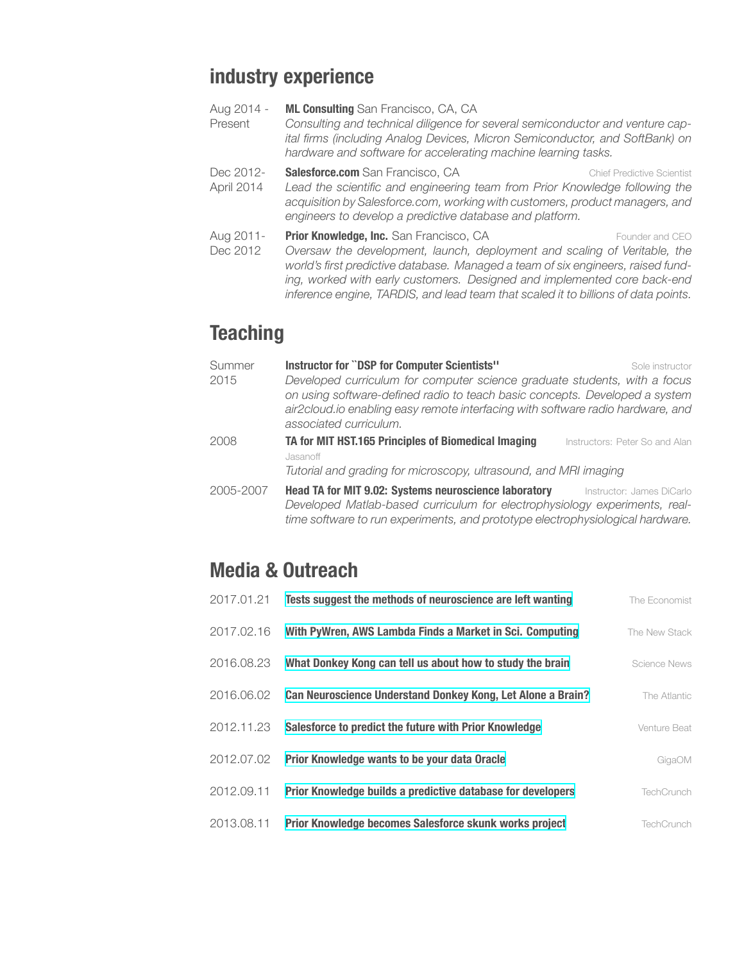# **industry experience**

- Aug 2014 Present **ML Consulting** San Francisco, CA, CA *Consulting and technical diligence for several semiconductor and venture capital firms (including Analog Devices, Micron Semiconductor, and SoftBank) on hardware and software for accelerating machine learning tasks.*
- Dec 2012- April 2014 **Salesforce.com** San Francisco, CA Chief Predictive Scientist *Lead the scientific and engineering team from Prior Knowledge following the acquisition by Salesforce.com, working with customers, product managers, and engineers to develop a predictive database and platform.*
- Aug 2011- Dec 2012 **Prior Knowledge, Inc.** San Francisco, CA Founder and CEO *Oversaw the development, launch, deployment and scaling of Veritable, the world's first predictive database. Managed a team of six engineers, raised funding, worked with early customers. Designed and implemented core back-end inference engine, TARDIS, and lead team that scaled it to billions of data points.*

# **Teaching**

| Summer    | Instructor for "DSP for Computer Scientists"<br>Sole instructor                                                                                              |
|-----------|--------------------------------------------------------------------------------------------------------------------------------------------------------------|
| 2015      | Developed curriculum for computer science graduate students, with a focus                                                                                    |
|           | on using software-defined radio to teach basic concepts. Developed a system                                                                                  |
|           | air2cloud.io enabling easy remote interfacing with software radio hardware, and<br>associated curriculum.                                                    |
| 2008      | TA for MIT HST.165 Principles of Biomedical Imaging<br>Instructors: Peter So and Alan                                                                        |
|           | Jasanoff                                                                                                                                                     |
|           | Tutorial and grading for microscopy, ultrasound, and MRI imaging                                                                                             |
| 2005-2007 | <b>Head TA for MIT 9.02: Systems neuroscience laboratory</b><br>Instructor: James DiCarlo                                                                    |
|           | Developed Matlab-based curriculum for electrophysiology experiments, real-<br>time software to run experiments, and prototype electrophysiological hardware. |

# **Media & Outreach**

| The Economist       | Tests suggest the methods of neuroscience are left wanting  | 2017.01.21 |
|---------------------|-------------------------------------------------------------|------------|
| The New Stack       | With PyWren, AWS Lambda Finds a Market in Sci. Computing    | 2017.02.16 |
| <b>Science News</b> | What Donkey Kong can tell us about how to study the brain   | 2016.08.23 |
| The Atlantic        | Can Neuroscience Understand Donkey Kong, Let Alone a Brain? | 2016.06.02 |
| Venture Beat        | Salesforce to predict the future with Prior Knowledge       | 2012.11.23 |
| GigaOM              | Prior Knowledge wants to be your data Oracle                | 2012.07.02 |
| TechCrunch          | Prior Knowledge builds a predictive database for developers | 2012.09.11 |
| <b>TechCrunch</b>   | Prior Knowledge becomes Salesforce skunk works project      | 2013.08.11 |